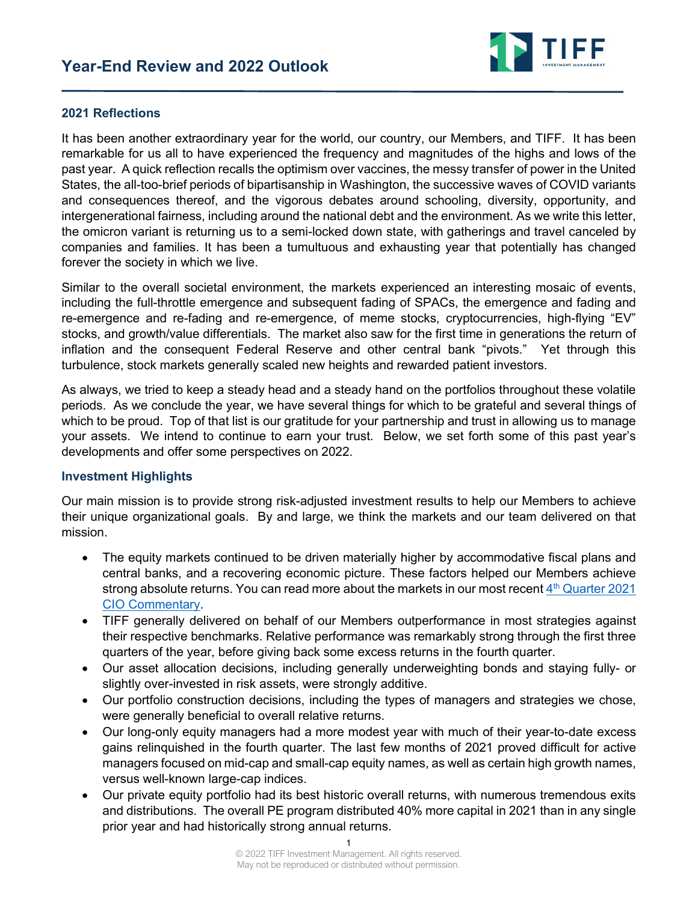

#### **2021 Reflections**

It has been another extraordinary year for the world, our country, our Members, and TIFF. It has been remarkable for us all to have experienced the frequency and magnitudes of the highs and lows of the past year. A quick reflection recalls the optimism over vaccines, the messy transfer of power in the United States, the all-too-brief periods of bipartisanship in Washington, the successive waves of COVID variants and consequences thereof, and the vigorous debates around schooling, diversity, opportunity, and intergenerational fairness, including around the national debt and the environment. As we write this letter, the omicron variant is returning us to a semi-locked down state, with gatherings and travel canceled by companies and families. It has been a tumultuous and exhausting year that potentially has changed forever the society in which we live.

Similar to the overall societal environment, the markets experienced an interesting mosaic of events, including the full-throttle emergence and subsequent fading of SPACs, the emergence and fading and re-emergence and re-fading and re-emergence, of meme stocks, cryptocurrencies, high-flying "EV" stocks, and growth/value differentials. The market also saw for the first time in generations the return of inflation and the consequent Federal Reserve and other central bank "pivots." Yet through this turbulence, stock markets generally scaled new heights and rewarded patient investors.

As always, we tried to keep a steady head and a steady hand on the portfolios throughout these volatile periods. As we conclude the year, we have several things for which to be grateful and several things of which to be proud. Top of that list is our gratitude for your partnership and trust in allowing us to manage your assets. We intend to continue to earn your trust. Below, we set forth some of this past year's developments and offer some perspectives on 2022.

#### **Investment Highlights**

Our main mission is to provide strong risk-adjusted investment results to help our Members to achieve their unique organizational goals. By and large, we think the markets and our team delivered on that mission.

- The equity markets continued to be driven materially higher by accommodative fiscal plans and central banks, and a recovering economic picture. These factors helped our Members achieve strong absolute returns. You can read more about the markets in our most recent  $4<sup>th</sup>$  Quarter 2021 CIO Commentary.
- TIFF generally delivered on behalf of our Members outperformance in most strategies against their respective benchmarks. Relative performance was remarkably strong through the first three quarters of the year, before giving back some excess returns in the fourth quarter.
- Our asset allocation decisions, including generally underweighting bonds and staying fully- or slightly over-invested in risk assets, were strongly additive.
- Our portfolio construction decisions, including the types of managers and strategies we chose, were generally beneficial to overall relative returns.
- Our long-only equity managers had a more modest year with much of their year-to-date excess gains relinquished in the fourth quarter. The last few months of 2021 proved difficult for active managers focused on mid-cap and small-cap equity names, as well as certain high growth names, versus well-known large-cap indices.
- Our private equity portfolio had its best historic overall returns, with numerous tremendous exits and distributions. The overall PE program distributed 40% more capital in 2021 than in any single prior year and had historically strong annual returns.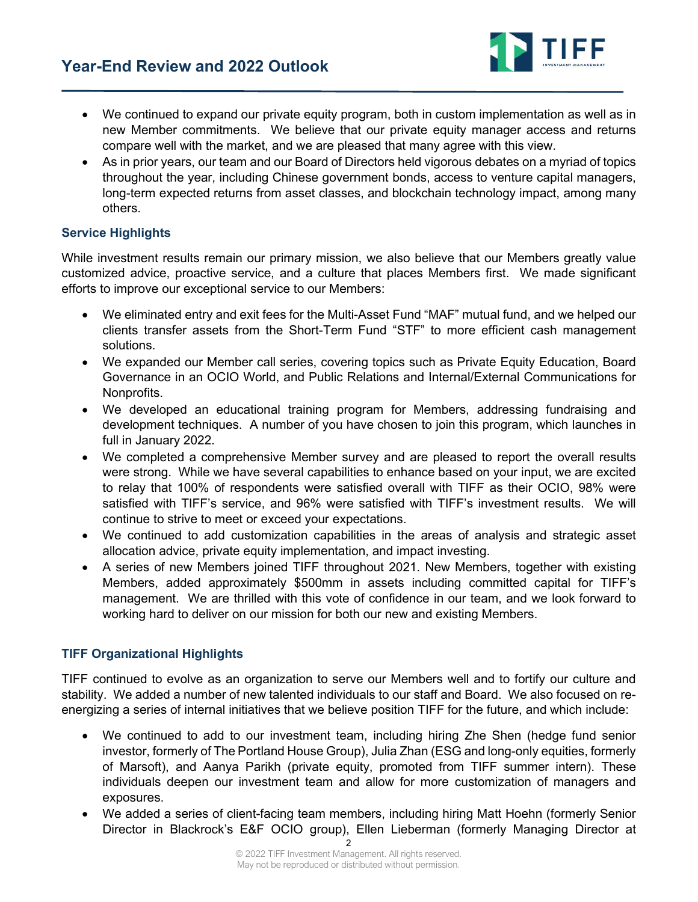

- We continued to expand our private equity program, both in custom implementation as well as in new Member commitments. We believe that our private equity manager access and returns compare well with the market, and we are pleased that many agree with this view.
- As in prior years, our team and our Board of Directors held vigorous debates on a myriad of topics throughout the year, including Chinese government bonds, access to venture capital managers, long-term expected returns from asset classes, and blockchain technology impact, among many others.

### **Service Highlights**

While investment results remain our primary mission, we also believe that our Members greatly value customized advice, proactive service, and a culture that places Members first. We made significant efforts to improve our exceptional service to our Members:

- We eliminated entry and exit fees for the Multi-Asset Fund "MAF" mutual fund, and we helped our clients transfer assets from the Short-Term Fund "STF" to more efficient cash management solutions.
- We expanded our Member call series, covering topics such as Private Equity Education, Board Governance in an OCIO World, and Public Relations and Internal/External Communications for Nonprofits.
- We developed an educational training program for Members, addressing fundraising and development techniques. A number of you have chosen to join this program, which launches in full in January 2022.
- We completed a comprehensive Member survey and are pleased to report the overall results were strong. While we have several capabilities to enhance based on your input, we are excited to relay that 100% of respondents were satisfied overall with TIFF as their OCIO, 98% were satisfied with TIFF's service, and 96% were satisfied with TIFF's investment results. We will continue to strive to meet or exceed your expectations.
- We continued to add customization capabilities in the areas of analysis and strategic asset allocation advice, private equity implementation, and impact investing.
- A series of new Members joined TIFF throughout 2021. New Members, together with existing Members, added approximately \$500mm in assets including committed capital for TIFF's management. We are thrilled with this vote of confidence in our team, and we look forward to working hard to deliver on our mission for both our new and existing Members.

## **TIFF Organizational Highlights**

TIFF continued to evolve as an organization to serve our Members well and to fortify our culture and stability. We added a number of new talented individuals to our staff and Board. We also focused on reenergizing a series of internal initiatives that we believe position TIFF for the future, and which include:

- We continued to add to our investment team, including hiring Zhe Shen (hedge fund senior investor, formerly of The Portland House Group), Julia Zhan (ESG and long-only equities, formerly of Marsoft), and Aanya Parikh (private equity, promoted from TIFF summer intern). These individuals deepen our investment team and allow for more customization of managers and exposures.
- We added a series of client-facing team members, including hiring Matt Hoehn (formerly Senior Director in Blackrock's E&F OCIO group), Ellen Lieberman (formerly Managing Director at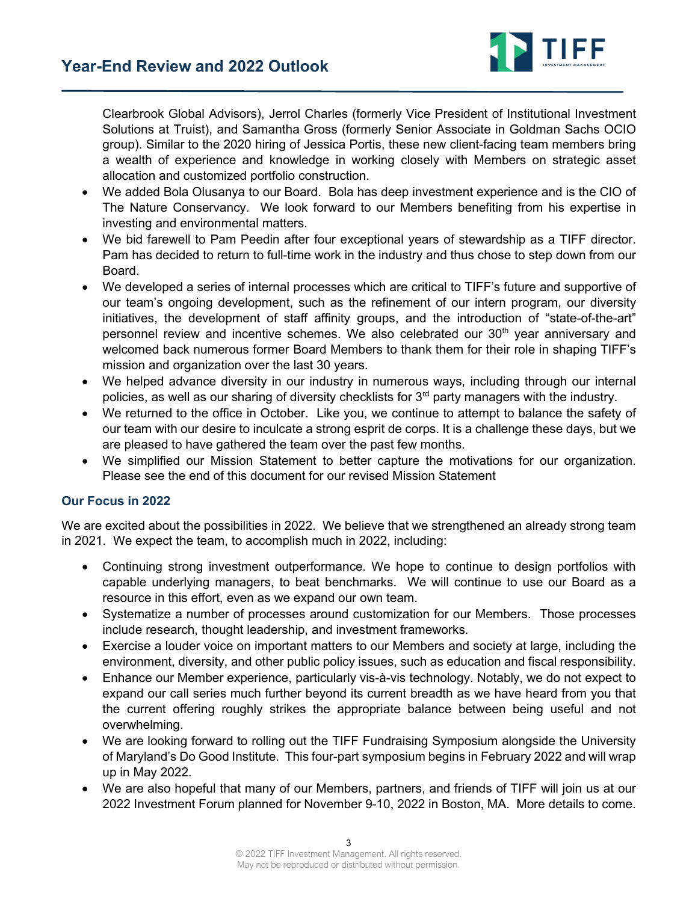

Clearbrook Global Advisors), Jerrol Charles (formerly Vice President of Institutional Investment Solutions at Truist), and Samantha Gross (formerly Senior Associate in Goldman Sachs OCIO group). Similar to the 2020 hiring of Jessica Portis, these new client-facing team members bring a wealth of experience and knowledge in working closely with Members on strategic asset allocation and customized portfolio construction.

- We added Bola Olusanya to our Board. Bola has deep investment experience and is the CIO of The Nature Conservancy. We look forward to our Members benefiting from his expertise in investing and environmental matters.
- We bid farewell to Pam Peedin after four exceptional years of stewardship as a TIFF director. Pam has decided to return to full-time work in the industry and thus chose to step down from our Board.
- We developed a series of internal processes which are critical to TIFF's future and supportive of our team's ongoing development, such as the refinement of our intern program, our diversity initiatives, the development of staff affinity groups, and the introduction of "state-of-the-art" personnel review and incentive schemes. We also celebrated our  $30<sup>th</sup>$  year anniversary and welcomed back numerous former Board Members to thank them for their role in shaping TIFF's mission and organization over the last 30 years.
- We helped advance diversity in our industry in numerous ways, including through our internal policies, as well as our sharing of diversity checklists for 3<sup>rd</sup> party managers with the industry.
- We returned to the office in October. Like you, we continue to attempt to balance the safety of our team with our desire to inculcate a strong esprit de corps. It is a challenge these days, but we are pleased to have gathered the team over the past few months.
- We simplified our Mission Statement to better capture the motivations for our organization. Please see the end of this document for our revised Mission Statement

#### **Our Focus in 2022**

We are excited about the possibilities in 2022. We believe that we strengthened an already strong team in 2021. We expect the team, to accomplish much in 2022, including:

- Continuing strong investment outperformance. We hope to continue to design portfolios with capable underlying managers, to beat benchmarks. We will continue to use our Board as a resource in this effort, even as we expand our own team.
- Systematize a number of processes around customization for our Members. Those processes include research, thought leadership, and investment frameworks.
- Exercise a louder voice on important matters to our Members and society at large, including the environment, diversity, and other public policy issues, such as education and fiscal responsibility.
- Enhance our Member experience, particularly vis-à-vis technology. Notably, we do not expect to expand our call series much further beyond its current breadth as we have heard from you that the current offering roughly strikes the appropriate balance between being useful and not overwhelming.
- We are looking forward to rolling out the TIFF Fundraising Symposium alongside the University of Maryland's Do Good Institute. This four-part symposium begins in February 2022 and will wrap up in May 2022.
- We are also hopeful that many of our Members, partners, and friends of TIFF will join us at our 2022 Investment Forum planned for November 9-10, 2022 in Boston, MA. More details to come.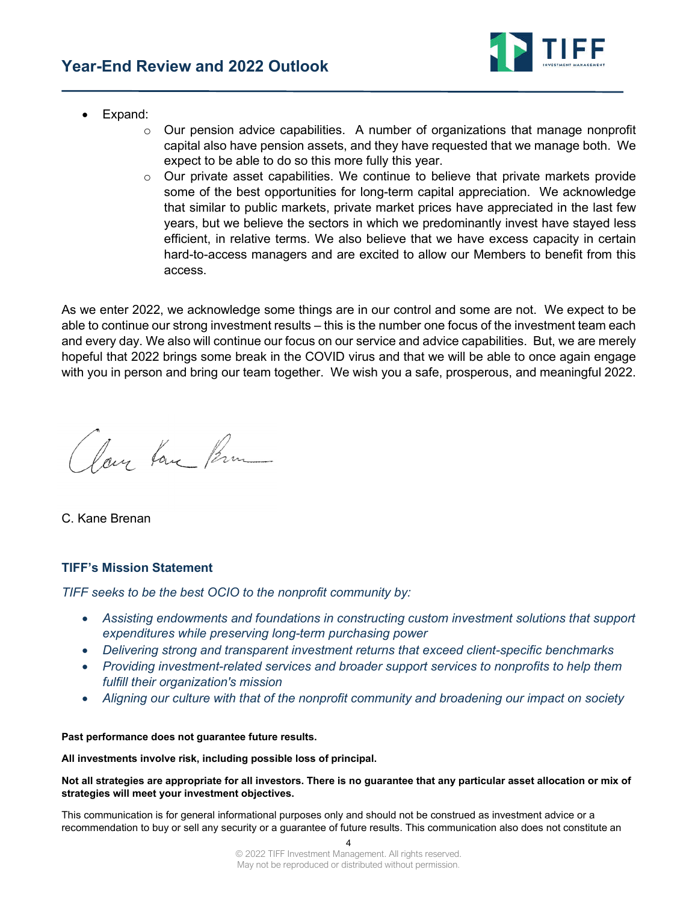

- Expand:
	- $\circ$  Our pension advice capabilities. A number of organizations that manage nonprofit capital also have pension assets, and they have requested that we manage both. We expect to be able to do so this more fully this year.
	- $\circ$  Our private asset capabilities. We continue to believe that private markets provide some of the best opportunities for long-term capital appreciation. We acknowledge that similar to public markets, private market prices have appreciated in the last few years, but we believe the sectors in which we predominantly invest have stayed less efficient, in relative terms. We also believe that we have excess capacity in certain hard-to-access managers and are excited to allow our Members to benefit from this access.

As we enter 2022, we acknowledge some things are in our control and some are not. We expect to be able to continue our strong investment results – this is the number one focus of the investment team each and every day. We also will continue our focus on our service and advice capabilities. But, we are merely hopeful that 2022 brings some break in the COVID virus and that we will be able to once again engage with you in person and bring our team together. We wish you a safe, prosperous, and meaningful 2022.

Clay Love Prim

C. Kane Brenan

#### **TIFF's Mission Statement**

*TIFF seeks to be the best OCIO to the nonprofit community by:* 

- *Assisting endowments and foundations in constructing custom investment solutions that support expenditures while preserving long-term purchasing power*
- *Delivering strong and transparent investment returns that exceed client-specific benchmarks*
- *Providing investment-related services and broader support services to nonprofits to help them fulfill their organization's mission*
- *Aligning our culture with that of the nonprofit community and broadening our impact on society*

#### **Past performance does not guarantee future results.**

**All investments involve risk, including possible loss of principal.** 

**Not all strategies are appropriate for all investors. There is no guarantee that any particular asset allocation or mix of strategies will meet your investment objectives.** 

This communication is for general informational purposes only and should not be construed as investment advice or a recommendation to buy or sell any security or a guarantee of future results. This communication also does not constitute an